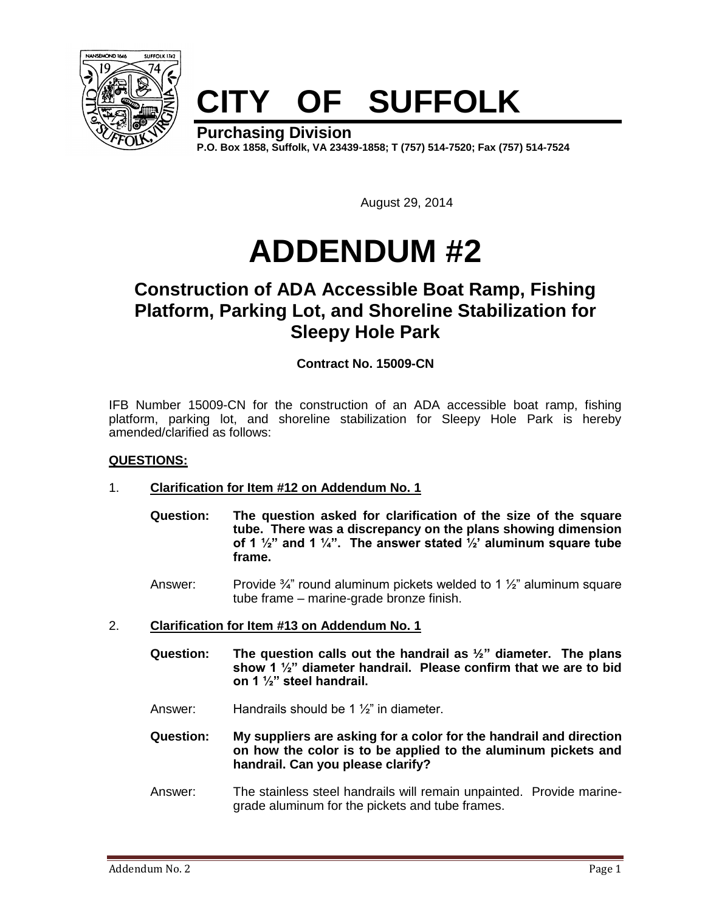

# **CITY OF SUFFOLK**

**Purchasing Division P.O. Box 1858, Suffolk, VA 23439-1858; T (757) 514-7520; Fax (757) 514-7524**

August 29, 2014

# **ADDENDUM #2**

# **Construction of ADA Accessible Boat Ramp, Fishing Platform, Parking Lot, and Shoreline Stabilization for Sleepy Hole Park**

## **Contract No. 15009-CN**

IFB Number 15009-CN for the construction of an ADA accessible boat ramp, fishing platform, parking lot, and shoreline stabilization for Sleepy Hole Park is hereby amended/clarified as follows:

### **QUESTIONS:**

- 1. **Clarification for Item #12 on Addendum No. 1**
	- **Question: The question asked for clarification of the size of the square tube. There was a discrepancy on the plans showing dimension of 1 ½" and 1 ¼". The answer stated ½' aluminum square tube frame.**
	- Answer: Provide  $\frac{3}{4}$ " round aluminum pickets welded to 1  $\frac{1}{2}$ " aluminum square tube frame – marine-grade bronze finish.
- 2. **Clarification for Item #13 on Addendum No. 1**
	- **Question: The question calls out the handrail as ½" diameter. The plans show 1 ½" diameter handrail. Please confirm that we are to bid on 1 ½" steel handrail.**
	- Answer: Handrails should be 1 ½" in diameter.
	- **Question: My suppliers are asking for a color for the handrail and direction on how the color is to be applied to the aluminum pickets and handrail. Can you please clarify?**
	- Answer: The stainless steel handrails will remain unpainted. Provide marinegrade aluminum for the pickets and tube frames.